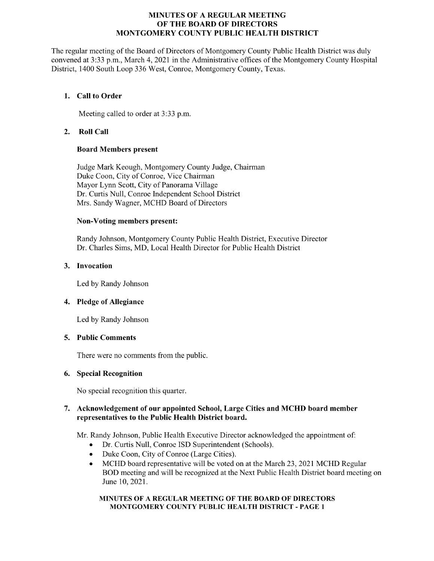# MINUTES OF A REGULAR MEETING OF THE BOARD OF DIRECTORS MONTGOMERY COUNTY PUBLIC HEALTH DISTRICT

The regular meeting of the Board of Directors of Montgomery County Public Health District was duly convened at 3:33 p.m., March 4, 2021 in the Administrative offices of the Montgomery County Hospital District, 1400 South Loop 336 West, Conroe, Montgomery County, Texas.

# 1. Call to Order

Meeting called to order at 3:33 p.m.

# 2. Roll Call

# Board Members present

Judge Mark Keough, Montgomery County Judge, Chairman Duke Coon, City of Conroe, Vice Chairman Mayor Lynn Scott, City of Panorama Village Dr. Curtis Null, Conroe Independent School District Mrs. Sandy Wagner, MCHD Board of Directors

# Non-Voting members present:

Randy Johnson, Montgomery County Public Health District, Executive Director Dr. Charles Sims, MD, Local Health Director for Public Health District

# 3. Invocation

Led by Randy Johnson

# 4. Pledge of Allegiance

Led by Randy Johnson

# 5. Public Comments

There were no comments from the public.

# 6. Special Recognition

No special recognition this quarter.

# 7. Acknowledgement of our appointed School, Large Cities and MCHD board member representatives to the Public Health District board.

Mr. Randy Johnson, Public Health Executive Director acknowledged the appointment of:

- Dr. Curtis Null, Conroe ISD Superintendent (Schools).  $\bullet$
- Duke Coon, City of Conroe (Large Cities).  $\bullet$
- MCHD board representative will be voted on at the March 23, 2021 MCHD Regular  $\bullet$ BOD meeting and will be recognized at the Next Public Health District board meeting on June 10, 2021.

#### MINUTES OF A REGULAR MEETING OF THE BOARD OF DIRECTORS MONTGOMERY COUNTY PUBLIC HEALTH DISTRICT - PAGE 1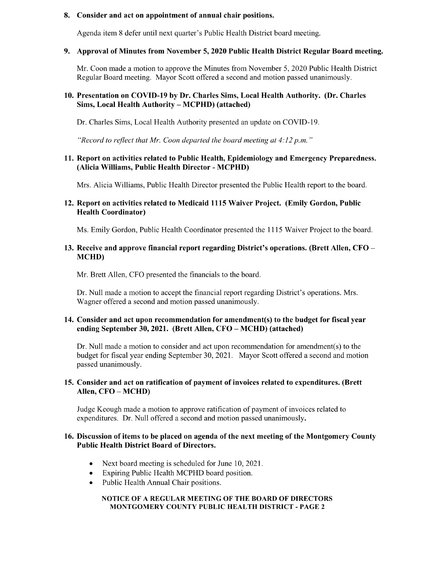#### 8. Consider and act on appointment of annual chair positions.

Agenda item 8 defer until next quarter's Public Health District board meeting.

#### 9. Approval of Minutes from November 5, 2020 Public Health District Regular Board meeting.

Mr. Coon made a motion to approve the Minutes from November 5, 2020 Public Health District Regular Board meeting. Mayor Scott offered a second and motion passed unanimously.

# 10. Presentation on COVID-19 by Dr. Charles Sims, Local Health Authority. (Dr. Charles Sims, Local Health Authority – MCPHD) (attached)

Dr. Charles Sims, Local Health Authority presented an update on COVID-19.

"Record to reflect that Mr. Coon departed the board meeting at  $4:12$  p.m."

# 11. Report on activities related to Public Health, Epidemiology and Emergency Preparedness. Alicia Williams, Public Health Director - MCPHD)

Mrs. Alicia Williams, Public Health Director presented the Public Health report to the board.

# 12. Report on activities related to Medicaid 1115 Waiver Project. (Emily Gordon, Public Health Coordinator)

Ms. Emily Gordon, Public Health Coordinator presented the 1115 Waiver Project to the board.

# 13. Receive and approve financial report regarding District's operations. (Brett Allen, CFO – MCHD)

Mr. Brett Allen, CFO presented the financials to the board.

Dr. Null made a motion to accept the financial report regarding District's operations. Mrs. Wagner offered a second and motion passed unanimously.

# 14. Consider and act upon recommendation for amendment(s) to the budget for fiscal year ending September 30, 2021. (Brett Allen, CFO – MCHD) (attached)

Dr. Null made a motion to consider and act upon recommendation for amendment(s) to the budget for fiscal year ending September 30, 2021. Mayor Scott offered a second and motion passed unanimously.

# 15. Consider and act on ratification of payment of invoices related to expenditures. (Brett Allen, CFO – MCHD)

Judge Keough made a motion to approve ratification of payment of invoices related to expenditures. Dr. Null offered a second and motion passed unanimously.

#### 16. Discussion of items to be placed on agenda of the next meeting of the Montgomery County Public Health District Board of Directors.

- Next board meeting is scheduled for June 10, 2021.  $\bullet$
- Expiring Public Health MCPHD board position.
- Public Health Annual Chair positions.

#### NOTICE OF A REGULAR MEETING OF THE BOARD OF DIRECTORS MONTGOMERY COUNTY PUBLIC HEALTH DISTRICT - PAGE 2